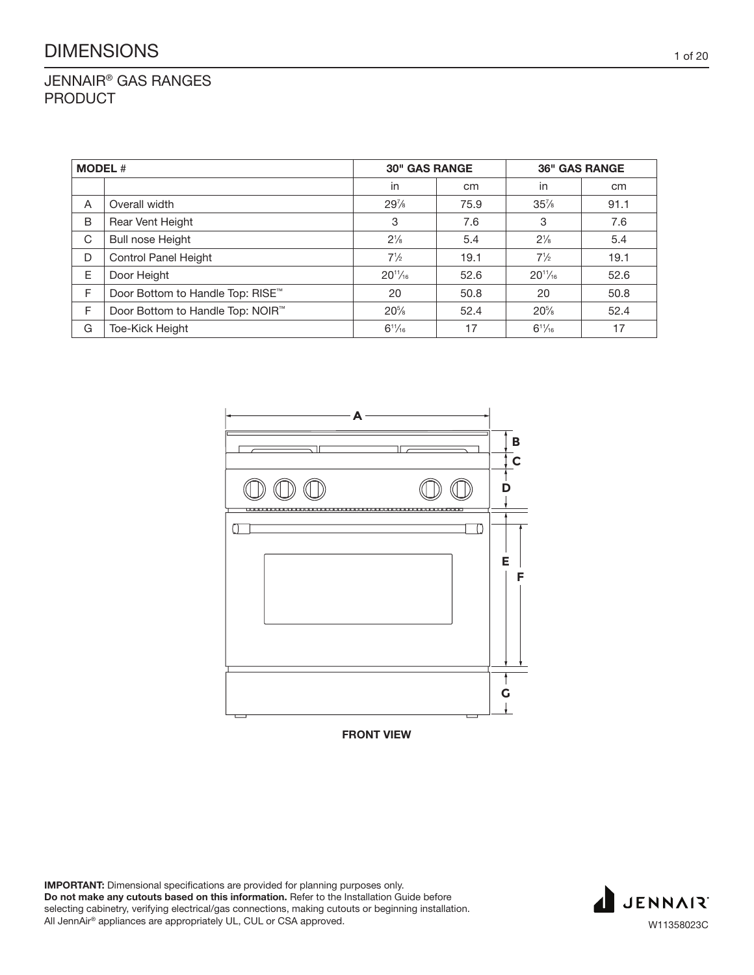JENNAIR® GAS RANGES PRODUCT

| <b>MODEL#</b> |                                              | <b>30" GAS RANGE</b> |               | <b>36" GAS RANGE</b> |               |
|---------------|----------------------------------------------|----------------------|---------------|----------------------|---------------|
|               |                                              | in                   | <sub>cm</sub> | in                   | <sub>cm</sub> |
| A             | Overall width                                | 29%                  | 75.9          | 35%                  | 91.1          |
| B             | Rear Vent Height                             | 3                    | 7.6           | 3                    | 7.6           |
| C             | <b>Bull nose Height</b>                      | $2\frac{1}{8}$       | 5.4           | $2\frac{1}{8}$       | 5.4           |
| D             | Control Panel Height                         | $7\frac{1}{2}$       | 19.1          | $7\frac{1}{2}$       | 19.1          |
| E             | Door Height                                  | $20^{11}/_{16}$      | 52.6          | $20^{11}/16$         | 52.6          |
| F             | Door Bottom to Handle Top: RISE <sup>™</sup> | 20                   | 50.8          | 20                   | 50.8          |
| F             | Door Bottom to Handle Top: NOIR <sup>™</sup> | $20\%$               | 52.4          | $20\%$               | 52.4          |
| G             | Toe-Kick Height                              | $6^{11}/16$          | 17            | $6^{11}/_{16}$       | 17            |



FRONT VIEW

IMPORTANT: Dimensional specifications are provided for planning purposes only. Do not make any cutouts based on this information. Refer to the Installation Guide before selecting cabinetry, verifying electrical/gas connections, making cutouts or beginning installation. All JennAir® appliances are appropriately UL, CUL or CSA approved.

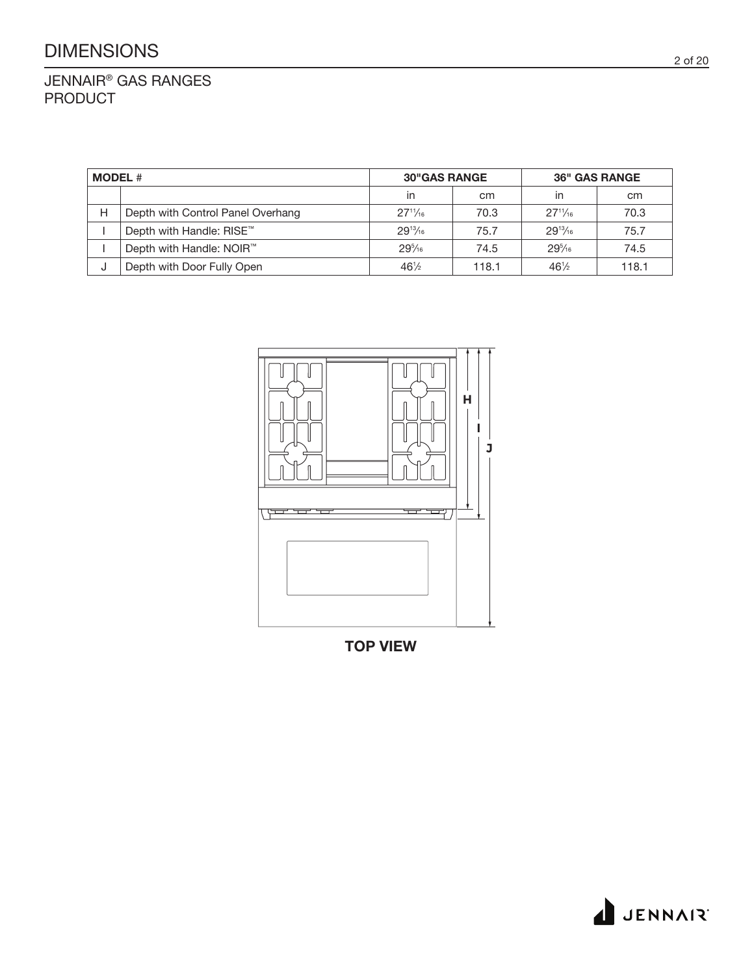JENNAIR® GAS RANGES PRODUCT

| <b>MODEL</b> # |                                      | <b>30"GAS RANGE</b> |       | <b>36" GAS RANGE</b> |       |  |
|----------------|--------------------------------------|---------------------|-------|----------------------|-------|--|
|                |                                      | in                  | cm    | in                   | cm    |  |
| H              | Depth with Control Panel Overhang    | $27^{11}/_{16}$     | 70.3  | $27^{11}/_{16}$      | 70.3  |  |
|                | Depth with Handle: RISE™             | $29^{13}/_{16}$     | 75.7  | $29^{13}/_{16}$      | 75.7  |  |
|                | Depth with Handle: NOIR <sup>™</sup> | $29^{5}/_{16}$      | 74.5  | $29^{5}/_{16}$       | 74.5  |  |
| J              | Depth with Door Fully Open           | $46\frac{1}{2}$     | 118.1 | $46\frac{1}{2}$      | 118.1 |  |



TOP VIEW

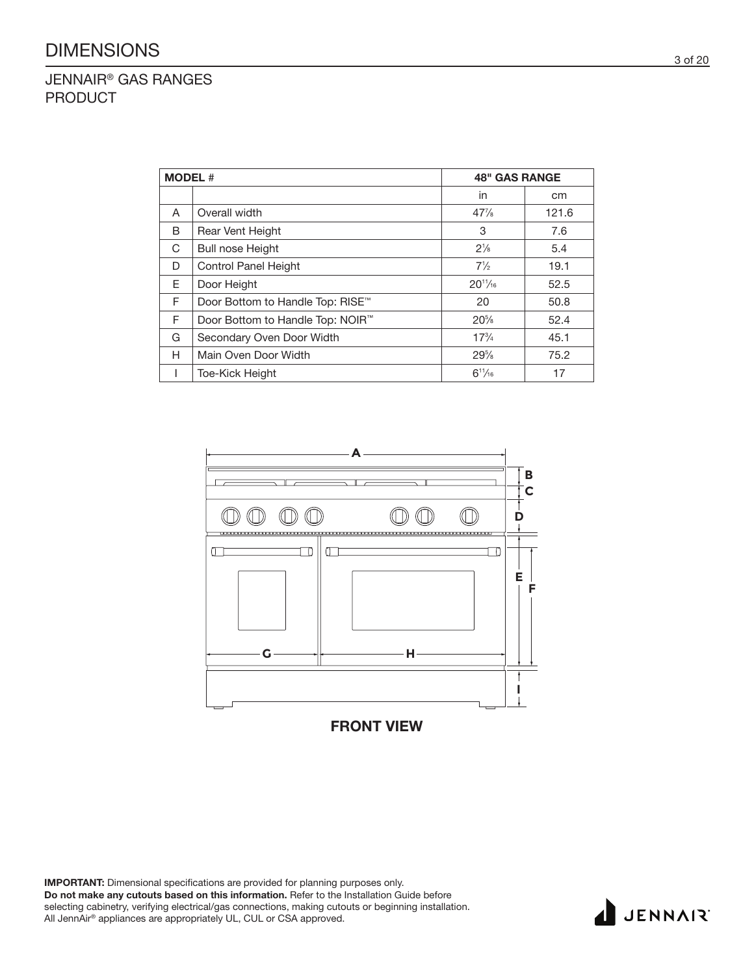JENNAIR® GAS RANGES PRODUCT

| <b>MODEL#</b> |                                              | <b>48" GAS RANGE</b> |       |
|---------------|----------------------------------------------|----------------------|-------|
|               |                                              | in                   | cm    |
| A             | Overall width                                | $47\frac{7}{8}$      | 121.6 |
| B             | <b>Rear Vent Height</b>                      | 3                    | 7.6   |
| C             | <b>Bull nose Height</b>                      | $2^{1/8}$            | 5.4   |
| D             | Control Panel Height                         | $7\frac{1}{2}$       | 19.1  |
| E.            | Door Height                                  | $20^{11}/_{16}$      | 52.5  |
| F             | Door Bottom to Handle Top: RISE™             | 20                   | 50.8  |
| F             | Door Bottom to Handle Top: NOIR <sup>™</sup> | $20\%$               | 52.4  |
| G             | Secondary Oven Door Width                    | $17^{3}/_{4}$        | 45.1  |
| H             | Main Oven Door Width                         | $29\%$               | 75.2  |
|               | <b>Toe-Kick Height</b>                       | $6^{11}/_{16}$       | 17    |

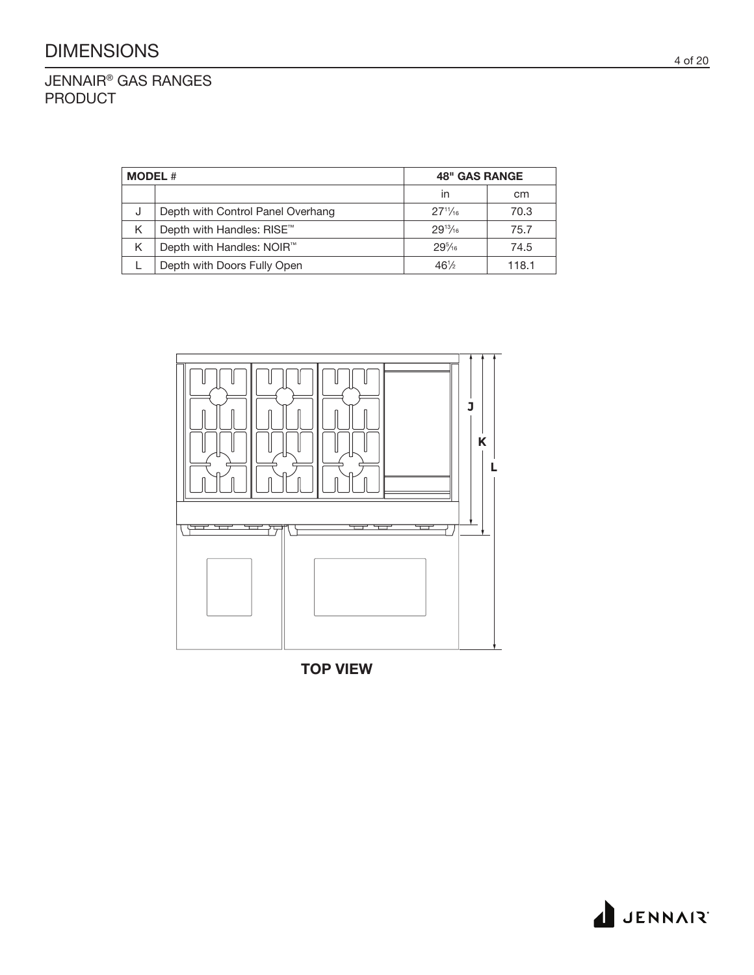JENNAIR® GAS RANGES PRODUCT

| <b>MODEL</b> # |                                       | <b>48" GAS RANGE</b> |       |  |
|----------------|---------------------------------------|----------------------|-------|--|
|                |                                       | in                   | cm    |  |
| J              | Depth with Control Panel Overhang     | $27^{11}/_{16}$      | 70.3  |  |
| K              | Depth with Handles: RISE <sup>™</sup> | $29^{13}/_{16}$      | 75.7  |  |
| K              | Depth with Handles: NOIR <sup>™</sup> | $29^{5}/_{16}$       | 74.5  |  |
|                | Depth with Doors Fully Open           | $46\frac{1}{2}$      | 118.1 |  |



TOP VIEW



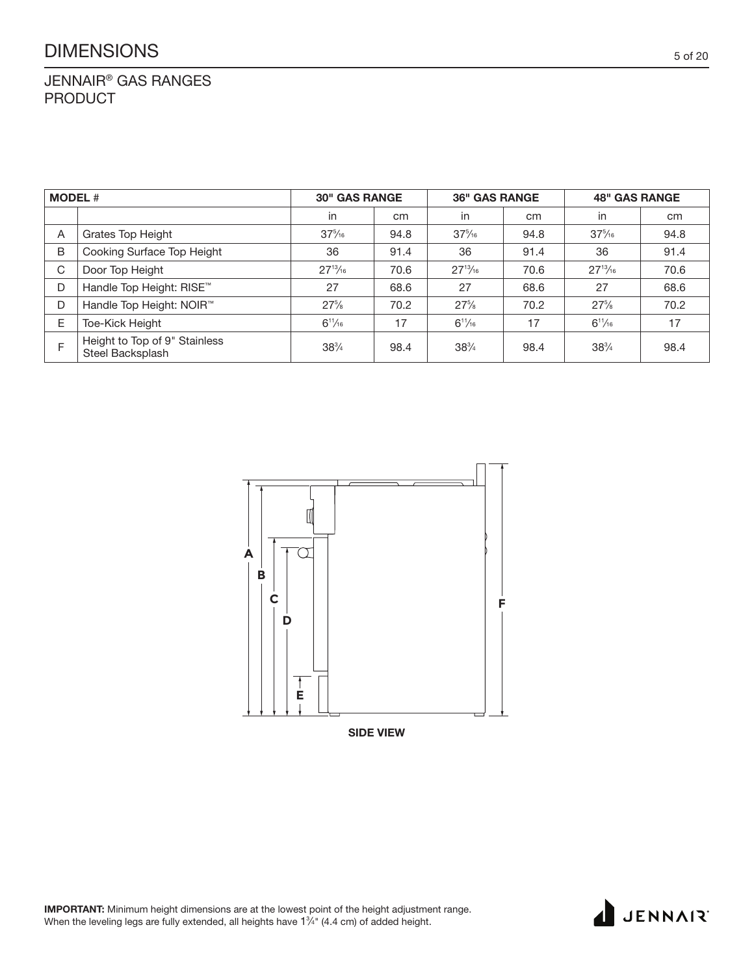### DIMENSIONS 5 of 20

JENNAIR® GAS RANGES PRODUCT

| <b>MODEL #</b> |                                                   | <b>30" GAS RANGE</b> |               | <b>36" GAS RANGE</b> |      | <b>48" GAS RANGE</b> |      |  |
|----------------|---------------------------------------------------|----------------------|---------------|----------------------|------|----------------------|------|--|
|                |                                                   | in                   | <sub>cm</sub> | in                   | cm   | in                   | cm   |  |
| A              | <b>Grates Top Height</b>                          | $37\frac{5}{16}$     | 94.8          | $37\frac{5}{16}$     | 94.8 | $37\frac{5}{16}$     | 94.8 |  |
| B              | Cooking Surface Top Height                        | 36                   | 91.4          | 36                   | 91.4 | 36                   | 91.4 |  |
| C              | Door Top Height                                   | $27^{13}/_{16}$      | 70.6          | $27^{13}/_{16}$      | 70.6 | $27^{13}/_{16}$      | 70.6 |  |
| D              | Handle Top Height: RISE™                          | 27                   | 68.6          | 27                   | 68.6 | 27                   | 68.6 |  |
| D              | Handle Top Height: NOIR <sup>™</sup>              | $27\%$               | 70.2          | $27\%$               | 70.2 | $27\%$               | 70.2 |  |
| E.             | Toe-Kick Height                                   | $6^{11}/_{16}$       | 17            | $6^{11}/_{16}$       | 17   | $6^{11}/_{16}$       | 17   |  |
| L.             | Height to Top of 9" Stainless<br>Steel Backsplash | $38\frac{3}{4}$      | 98.4          | $38\frac{3}{4}$      | 98.4 | $38\frac{3}{4}$      | 98.4 |  |



IMPORTANT: Minimum height dimensions are at the lowest point of the height adjustment range. When the leveling legs are fully extended, all heights have  $1\frac{3}{4}$ " (4.4 cm) of added height.

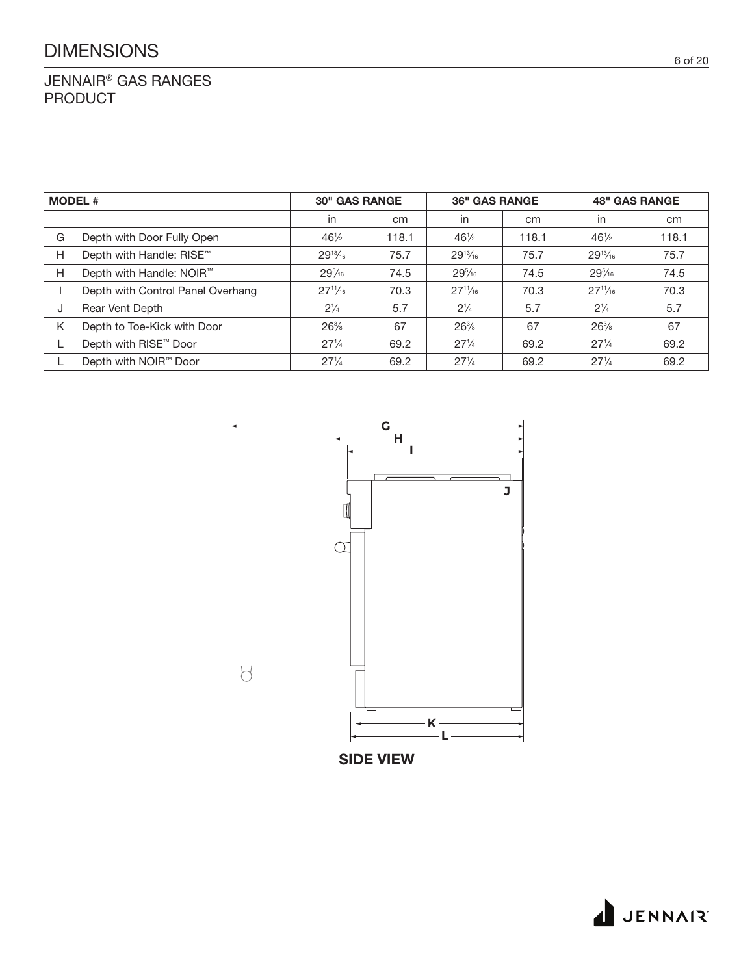# DIMENSIONS 6 of 20

#### JENNAIR® GAS RANGES PRODUCT

| <b>MODEL#</b> |                                   | <b>30" GAS RANGE</b> |       | <b>36" GAS RANGE</b> |       | <b>48" GAS RANGE</b> |       |
|---------------|-----------------------------------|----------------------|-------|----------------------|-------|----------------------|-------|
|               |                                   | in                   | cm    | in                   | cm    | in                   | cm    |
| G             | Depth with Door Fully Open        | $46\frac{1}{2}$      | 118.1 | $46\frac{1}{2}$      | 118.1 | $46\frac{1}{2}$      | 118.1 |
| H             | Depth with Handle: RISE™          | $29^{13}/_{16}$      | 75.7  | $29^{13}/_{16}$      | 75.7  | $29^{13}/_{16}$      | 75.7  |
| H             | Depth with Handle: NOIR™          | $29^{5}/_{16}$       | 74.5  | $29^{5}/_{16}$       | 74.5  | $29^{5}/_{16}$       | 74.5  |
|               | Depth with Control Panel Overhang | $27^{11}/_{16}$      | 70.3  | $27^{11}/_{16}$      | 70.3  | $27^{11}/_{16}$      | 70.3  |
| J             | Rear Vent Depth                   | $2^{1/4}$            | 5.7   | $2\frac{1}{4}$       | 5.7   | $2^{1/4}$            | 5.7   |
| K             | Depth to Toe-Kick with Door       | $26\frac{3}{8}$      | 67    | $26\%$               | 67    | $26\%$               | 67    |
|               | Depth with RISE <sup>™</sup> Door | $27^{1/4}$           | 69.2  | $27\frac{1}{4}$      | 69.2  | $27\frac{1}{4}$      | 69.2  |
|               | Depth with NOIR <sup>™</sup> Door | $27^{1/4}$           | 69.2  | $27\frac{1}{4}$      | 69.2  | $27\frac{1}{4}$      | 69.2  |



SIDE VIEW

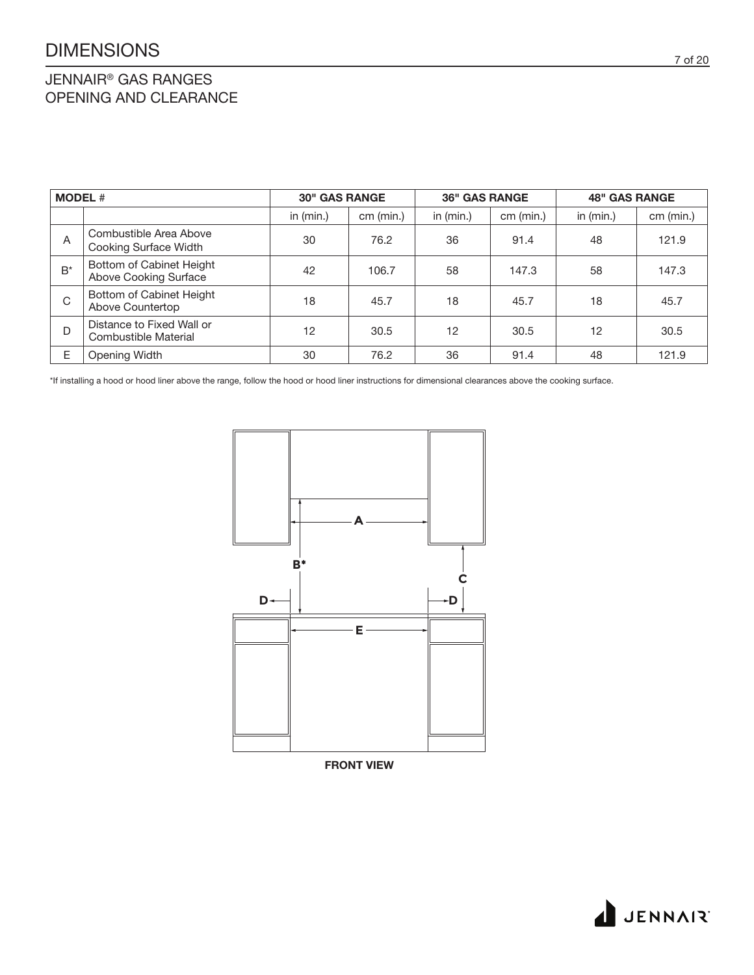# DIMENSIONS 7 of 20

Ī

#### JENNAIR® GAS RANGES OPENING AND CLEARANCE

| <b>MODEL#</b> |                                                   | <b>30" GAS RANGE</b> |           | <b>36" GAS RANGE</b><br><b>48" GAS RANGE</b> |           |             |           |
|---------------|---------------------------------------------------|----------------------|-----------|----------------------------------------------|-----------|-------------|-----------|
|               |                                                   | in $(min.)$          | cm (min.) | in $(min.)$                                  | cm (min.) | in $(min.)$ | cm (min.) |
| A             | Combustible Area Above<br>Cooking Surface Width   | 30                   | 76.2      | 36                                           | 91.4      | 48          | 121.9     |
| $B^*$         | Bottom of Cabinet Height<br>Above Cooking Surface | 42                   | 106.7     | 58                                           | 147.3     | 58          | 147.3     |
| C             | Bottom of Cabinet Height<br>Above Countertop      | 18                   | 45.7      | 18                                           | 45.7      | 18          | 45.7      |
| D             | Distance to Fixed Wall or<br>Combustible Material | 12                   | 30.5      | 12                                           | 30.5      | 12          | 30.5      |
| E.            | Opening Width                                     | 30                   | 76.2      | 36                                           | 91.4      | 48          | 121.9     |

\*If installing a hood or hood liner above the range, follow the hood or hood liner instructions for dimensional clearances above the cooking surface.



FRONT VIEW

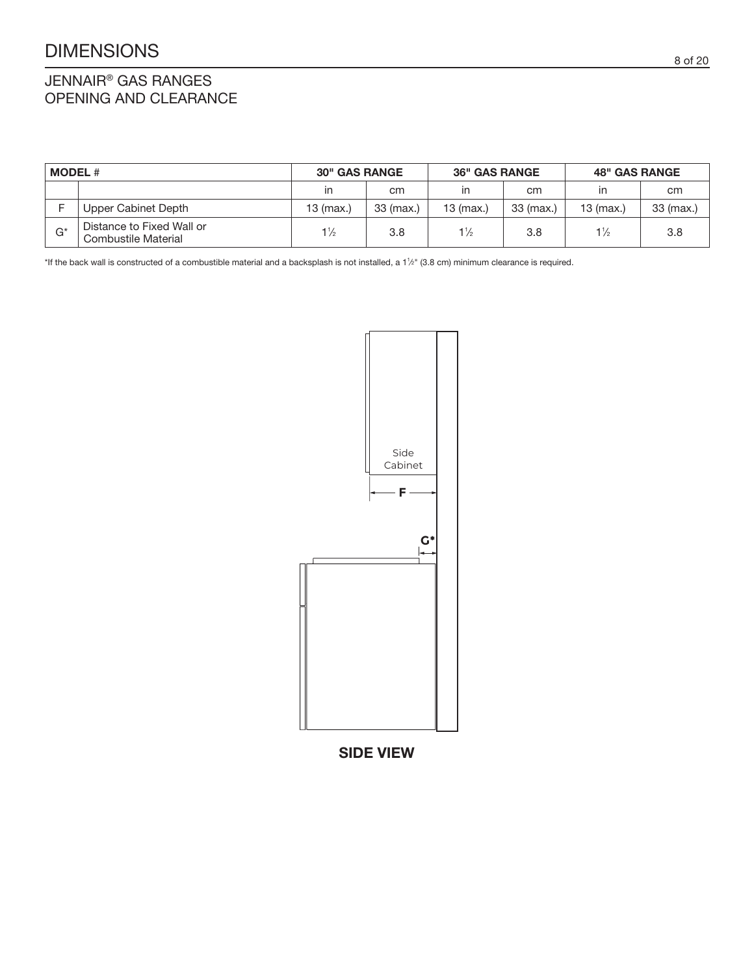#### JENNAIR® GAS RANGES OPENING AND CLEARANCE

|       | <b>MODEL</b> #                                   |                | <b>30" GAS RANGE</b> | <b>36" GAS RANGE</b> |           | <b>48" GAS RANGE</b> |           |
|-------|--------------------------------------------------|----------------|----------------------|----------------------|-----------|----------------------|-----------|
|       |                                                  | in.            | cm                   | in                   | cm        | $\mathsf{I}$         | cm        |
|       | Upper Cabinet Depth                              | $13 \ (max.)$  | 33 (max.)            | $13$ (max.)          | 33 (max.) | $13$ (max.)          | 33 (max.) |
| $G^*$ | Distance to Fixed Wall or<br>Combustile Material | $1\frac{1}{2}$ | 3.8                  | $1\frac{1}{2}$       | 3.8       | $1\frac{1}{2}$       | 3.8       |

\*If the back wall is constructed of a combustible material and a backsplash is not installed, a 1<sup>1</sup>/2" (3.8 cm) minimum clearance is required.



SIDE VIEW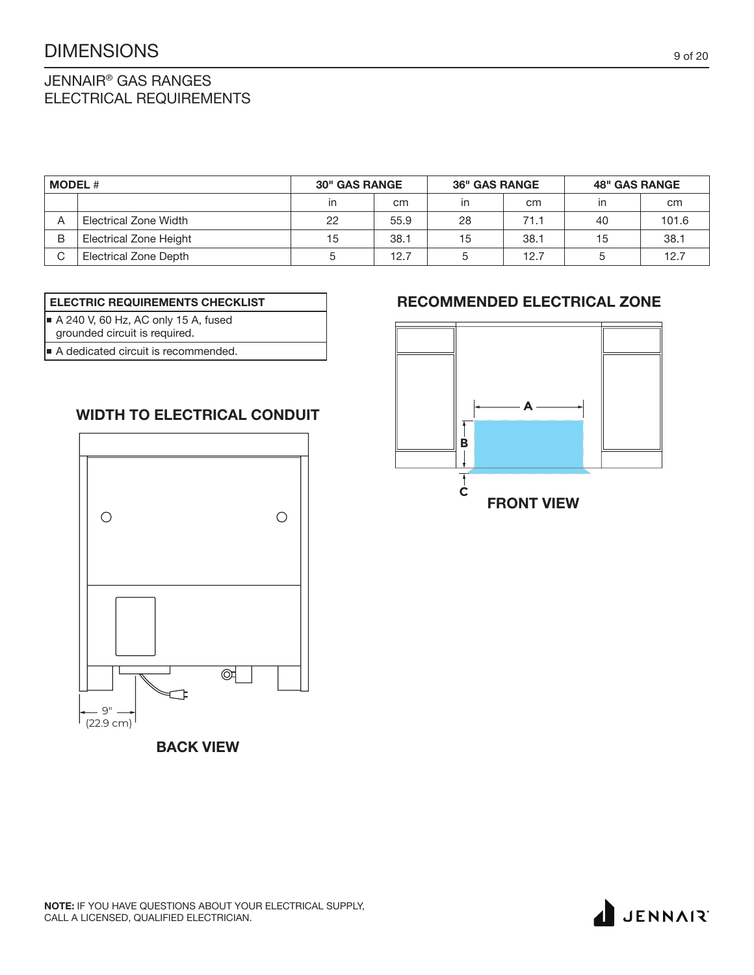#### JENNAIR® GAS RANGES ELECTRICAL REQUIREMENTS

| <b>MODEL</b> # |                               | <b>30" GAS RANGE</b> |      | <b>36" GAS RANGE</b> |      | <b>48" GAS RANGE</b> |       |
|----------------|-------------------------------|----------------------|------|----------------------|------|----------------------|-------|
|                |                               | <sub>in</sub>        | cm   | in                   | cm   | in                   | cm    |
| Α              | Electrical Zone Width         | 22                   | 55.9 | 28                   | 71.1 | 40                   | 101.6 |
| B              | <b>Electrical Zone Height</b> | 15                   | 38.1 | 15                   | 38.1 | 15                   | 38.1  |
| С              | Electrical Zone Depth         |                      | 12.7 |                      | 12.7 |                      | 12.7  |

#### ELECTRIC REQUIREMENTS CHECKLIST

 $\blacktriangleright$  A 240 V, 60 Hz, AC only 15 A, fused

- grounded circuit is required.
- A dedicated circuit is recommended.

### WIDTH TO ELECTRICAL CONDUIT **A**



BACK VIEW

#### RECOMMENDED ELECTRICAL ZONE



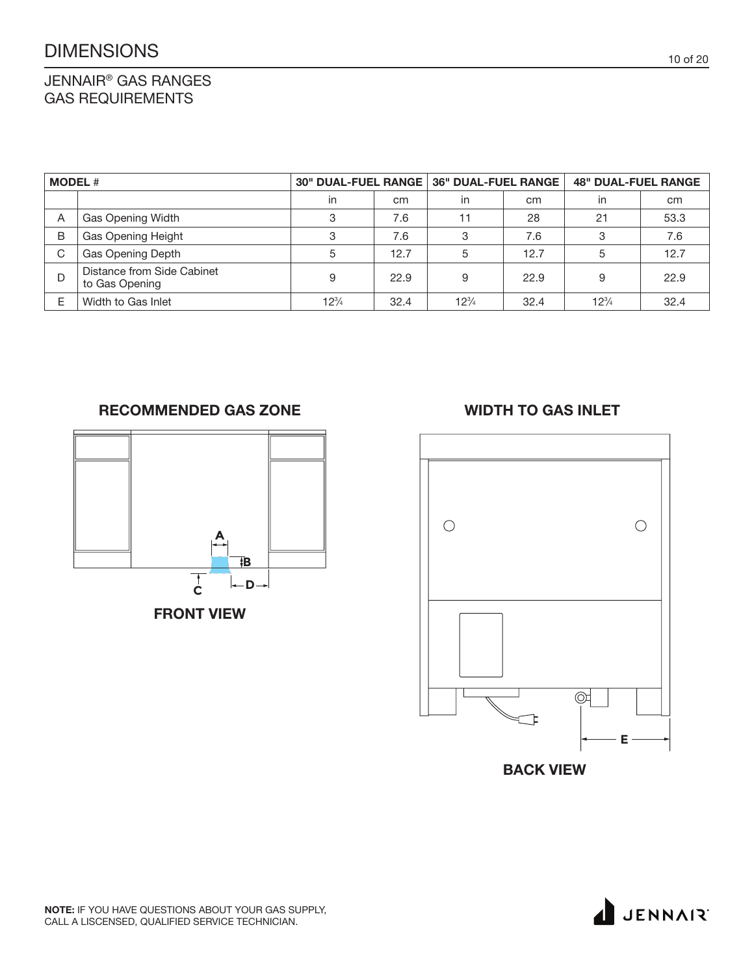### DIMENSIONS 10 of 20

JENNAIR® GAS RANGES GAS REQUIREMENTS

| <b>MODEL #</b> |                                              |            |      |                 | 30" DUAL-FUEL RANGE   36" DUAL-FUEL RANGE<br><b>48" DUAL-FUEL RANGE</b> |            |      |
|----------------|----------------------------------------------|------------|------|-----------------|-------------------------------------------------------------------------|------------|------|
|                |                                              | in         | cm   | in              | cm                                                                      | in         | cm   |
| A              | Gas Opening Width                            | 3          | 7.6  | 11              | 28                                                                      | 21         | 53.3 |
| B              | Gas Opening Height                           | 3          | 7.6  |                 | 7.6                                                                     | 3          | 7.6  |
| C              | Gas Opening Depth                            | 5          | 12.7 |                 | 12.7                                                                    | 5          | 12.7 |
| D              | Distance from Side Cabinet<br>to Gas Opening | 9          | 22.9 | 9               | 22.9                                                                    | 9          | 22.9 |
| F              | Width to Gas Inlet                           | $12^{3}/4$ | 32.4 | $12\frac{3}{4}$ | 32.4                                                                    | $12^{3}/4$ | 32.4 |

RECOMMENDED GAS ZONE WIDTH TO GAS INLET



FRONT VIEW



BACK VIEW

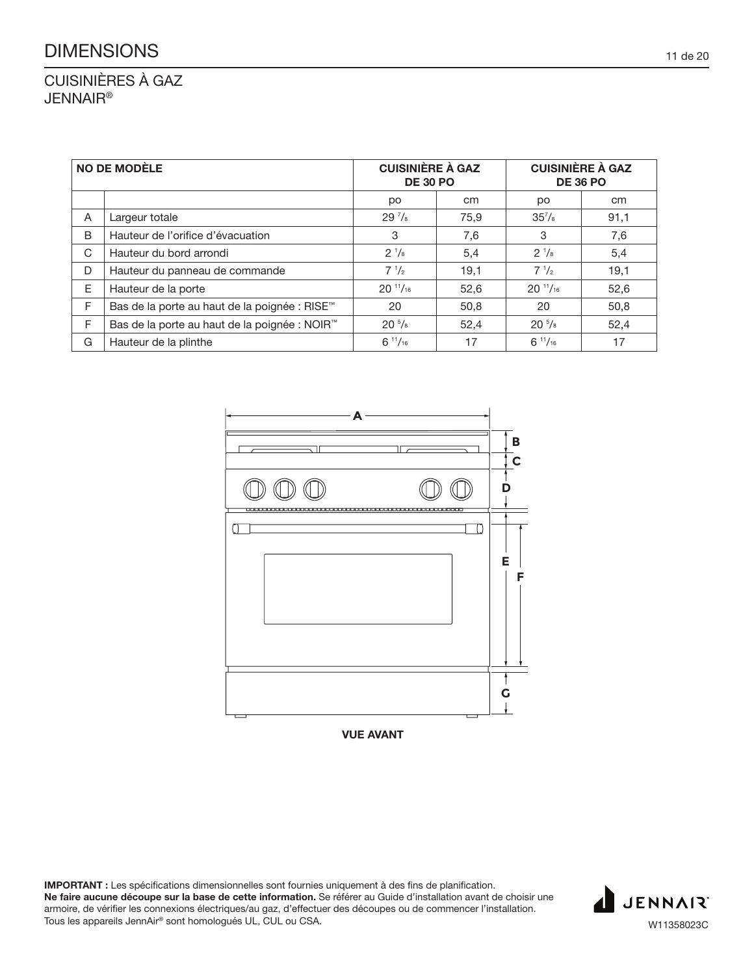CUISINIÈRES À GAZ JENNAIR®

|   | <b>NO DE MODÈLE</b>                                       | <b>CUISINIÈRE À GAZ</b><br><b>DE 30 PO</b> |      | <b>CUISINIÈRE À GAZ</b><br><b>DE 36 PO</b> |      |
|---|-----------------------------------------------------------|--------------------------------------------|------|--------------------------------------------|------|
|   |                                                           | po                                         | cm   | po                                         | cm   |
| A | Largeur totale                                            | $29\frac{7}{8}$                            | 75,9 | $35^{7}/s$                                 | 91,1 |
| B | Hauteur de l'orifice d'évacuation                         | 3                                          | 7,6  | 3                                          | 7,6  |
| C | Hauteur du bord arrondi                                   | $2^{1/8}$                                  | 5,4  | $2^{1/8}$                                  | 5,4  |
| D | Hauteur du panneau de commande                            | $7^{1/2}$                                  | 19,1 | $7^{1/2}$                                  | 19,1 |
| E | Hauteur de la porte                                       | $20^{11}/_{16}$                            | 52,6 | $20^{11}/_{16}$                            | 52,6 |
| F | Bas de la porte au haut de la poignée : RISE™             | 20                                         | 50,8 | 20                                         | 50,8 |
| F | Bas de la porte au haut de la poignée : NOIR <sup>™</sup> | $20^{5}/s$                                 | 52,4 | $20^{5}/s$                                 | 52,4 |
| G | Hauteur de la plinthe                                     | $6^{11}/_{16}$                             | 17   | $6^{11}/_{16}$                             | 17   |



VUE AVANT

IMPORTANT : Les spécifications dimensionnelles sont fournies uniquement à des fins de planification. Ne faire aucune découpe sur la base de cette information. Se référer au Guide d'installation avant de choisir une armoire, de vérifier les connexions électriques/au gaz, d'effectuer des découpes ou de commencer l'installation. Tous les appareils JennAir® sont homologués UL, CUL ou CSA.

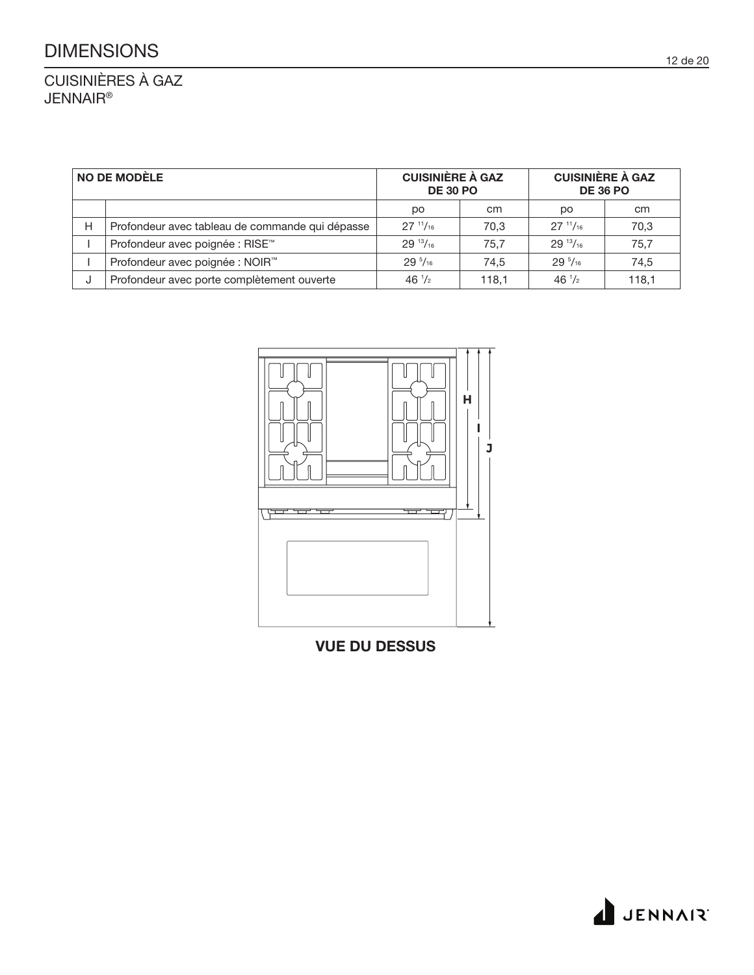CUISINIÈRES À GAZ JENNAIR®

| <b>NO DE MODÈLE</b> |                                                 | <b>CUISINIÈRE À GAZ</b><br><b>DE 30 PO</b> |      | <b>CUISINIÈRE À GAZ</b><br><b>DE 36 PO</b> |       |
|---------------------|-------------------------------------------------|--------------------------------------------|------|--------------------------------------------|-------|
|                     |                                                 | po                                         | cm.  | po                                         | cm    |
| Н                   | Profondeur avec tableau de commande qui dépasse | $27^{11}/_{16}$                            | 70,3 | $27^{11}/_{16}$                            | 70,3  |
|                     | Profondeur avec poignée : RISE™                 | $29^{13}/_{16}$                            | 75.7 | $29^{13}/_{16}$                            | 75,7  |
|                     | Profondeur avec poignée : NOIR™                 | $29^{5}/_{16}$                             | 74.5 | $29^{5}/_{16}$                             | 74,5  |
|                     | Profondeur avec porte complètement ouverte      | $46 \frac{1}{2}$<br>118.1                  |      | $46^{1/2}$                                 | 118,1 |

![](_page_11_Figure_3.jpeg)

VUE DU DESSUS

![](_page_11_Picture_6.jpeg)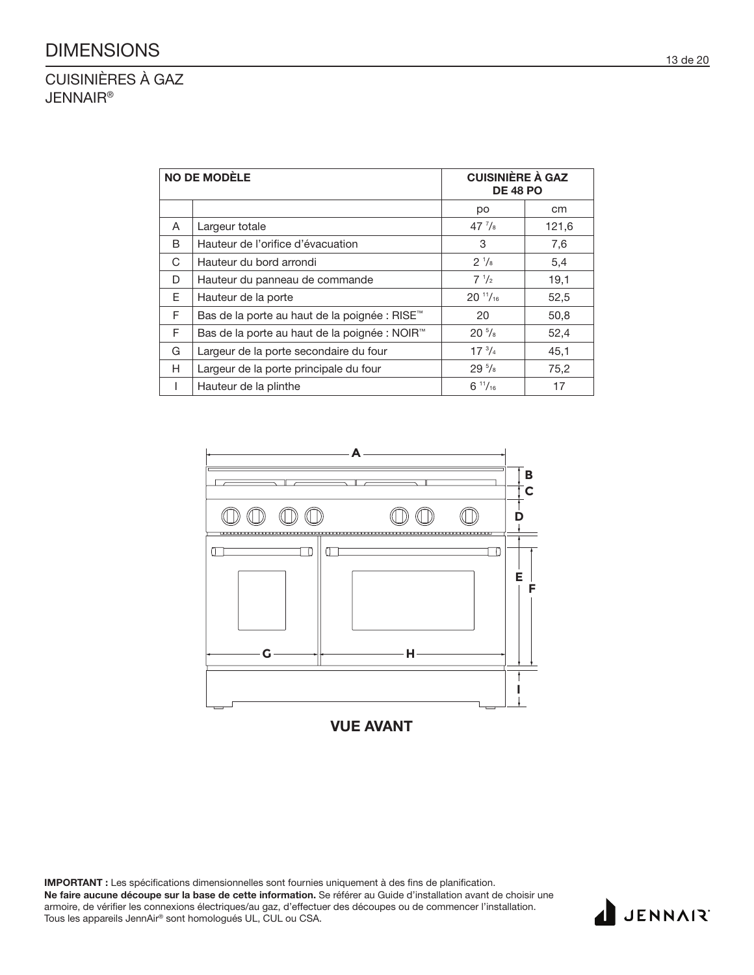CUISINIÈRES À GAZ JENNAIR®

|    | <b>NO DE MODÈLE</b>                                       | <b>CUISINIÈRE À GAZ</b><br><b>DE 48 PO</b> |       |
|----|-----------------------------------------------------------|--------------------------------------------|-------|
|    |                                                           | po                                         | cm    |
| A  | Largeur totale                                            | $47^{7}/_8$                                | 121,6 |
| B. | Hauteur de l'orifice d'évacuation                         | 3                                          | 7,6   |
| C  | Hauteur du bord arrondi                                   | $2^{1/8}$                                  | 5,4   |
| D  | Hauteur du panneau de commande                            | $7 \frac{1}{2}$                            | 19,1  |
| E. | Hauteur de la porte                                       | $20^{11}/_{16}$                            | 52,5  |
| F. | Bas de la porte au haut de la poignée : RISE <sup>™</sup> | 20                                         | 50,8  |
| F. | Bas de la porte au haut de la poignée : NOIR™             | $20^{5}/s$                                 | 52,4  |
| G  | Largeur de la porte secondaire du four                    | $17^{3}/_{4}$                              | 45,1  |
| H  | Largeur de la porte principale du four                    | $29^{5}/s$                                 | 75,2  |
|    | Hauteur de la plinthe                                     | $6^{11}/_{16}$                             | 17    |

![](_page_12_Figure_3.jpeg)

IMPORTANT : Les spécifications dimensionnelles sont fournies uniquement à des fins de planification. Ne faire aucune découpe sur la base de cette information. Se référer au Guide d'installation avant de choisir une armoire, de vérifier les connexions électriques/au gaz, d'effectuer des découpes ou de commencer l'installation. Tous les appareils JennAir® sont homologués UL, CUL ou CSA.

![](_page_12_Picture_5.jpeg)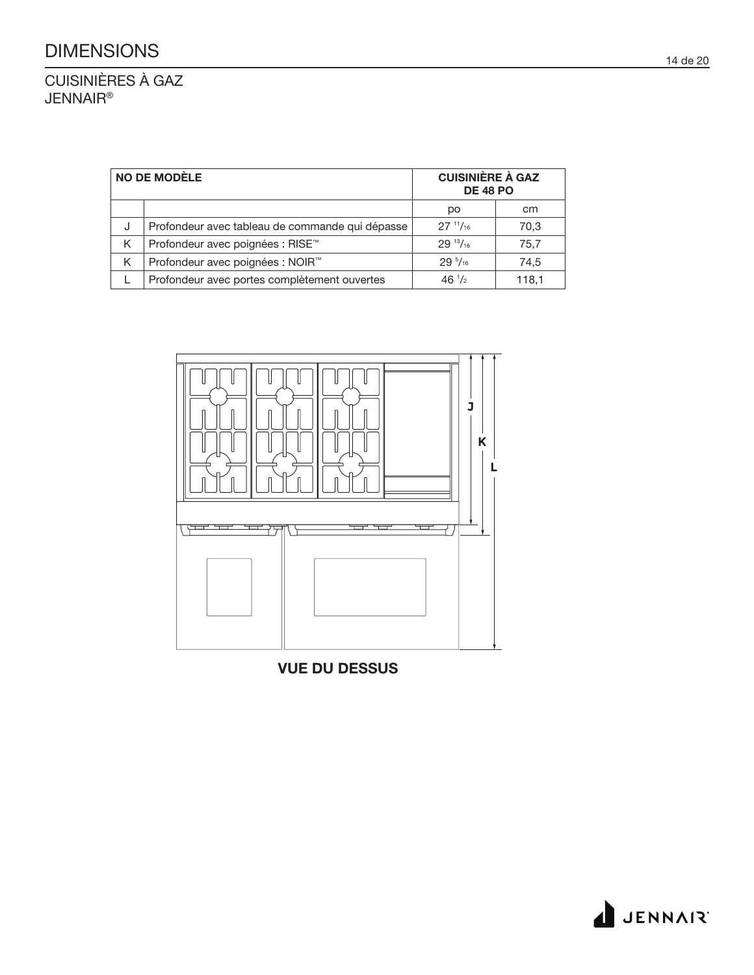# DIMENSIONS 14 de 20

CUISINIÈRES À GAZ JENNAIR®

|   | <b>NO DE MODÈLE</b>                             | <b>CUISINIÈRE À GAZ</b><br><b>DE 48 PO</b> |       |
|---|-------------------------------------------------|--------------------------------------------|-------|
|   |                                                 | po                                         | cm    |
| J | Profondeur avec tableau de commande qui dépasse | $27^{11}/_{16}$                            | 70,3  |
| K | Profondeur avec poignées : RISE™                | $29^{13}/_{16}$                            | 75,7  |
| K | Profondeur avec poignées : NOIR™                | $29^{5}/_{16}$                             | 74.5  |
|   | Profondeur avec portes complètement ouvertes    | $46 \frac{1}{2}$                           | 118,1 |

![](_page_13_Figure_3.jpeg)

VUE DU DESSUS

![](_page_13_Picture_6.jpeg)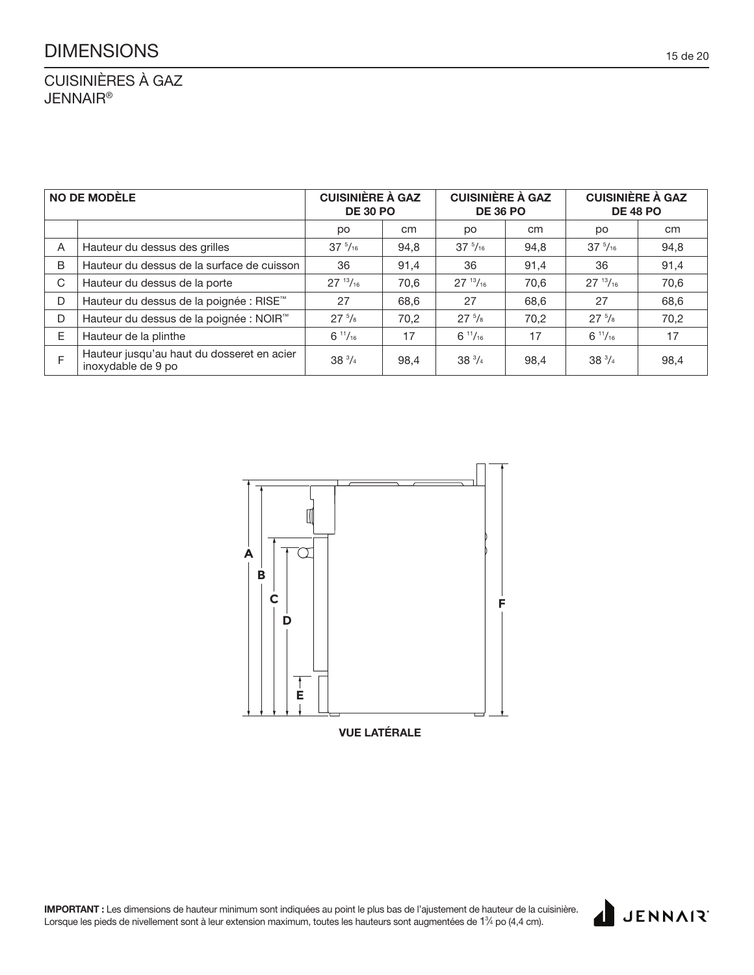### DIMENSIONS 15 de 20

CUISINIÈRES À GAZ JENNAIR®

| <b>NO DE MODÈLE</b> |                                                                  | <b>CUISINIÈRE À GAZ</b><br><b>DE 30 PO</b> |      | <b>CUISINIÈRE À GAZ</b><br><b>DE 36 PO</b> |      | <b>CUISINIÈRE À GAZ</b><br><b>DE 48 PO</b> |      |
|---------------------|------------------------------------------------------------------|--------------------------------------------|------|--------------------------------------------|------|--------------------------------------------|------|
|                     |                                                                  | po                                         | cm   | po                                         | cm   | po                                         | cm   |
| A                   | Hauteur du dessus des grilles                                    | $37^{5}/_{16}$                             | 94,8 | $37 \frac{5}{16}$                          | 94,8 | $37^{5}/_{16}$                             | 94,8 |
| B                   | Hauteur du dessus de la surface de cuisson                       | 36                                         | 91,4 | 36                                         | 91,4 | 36                                         | 91,4 |
| C                   | Hauteur du dessus de la porte                                    | $27^{13}/_{16}$                            | 70.6 | $27^{13}/_{16}$                            | 70,6 | $27^{13}/_{16}$                            | 70,6 |
| D                   | Hauteur du dessus de la poignée : RISE™                          | 27                                         | 68,6 | 27                                         | 68,6 | 27                                         | 68,6 |
| D                   | Hauteur du dessus de la poignée : NOIR™                          | $27^{5}/s$                                 | 70.2 | $27^{5}/s$                                 | 70,2 | $27^{5}/s$                                 | 70,2 |
| E                   | Hauteur de la plinthe                                            | $6^{11}/_{16}$                             | 17   | $6^{11}/_{16}$                             | 17   | $6^{11}/_{16}$                             | 17   |
| E                   | Hauteur jusqu'au haut du dosseret en acier<br>inoxydable de 9 po | $38^{3}/4$                                 | 98,4 | $38^{3}/4$                                 | 98,4 | $38^{3}/_{4}$                              | 98,4 |

![](_page_14_Figure_3.jpeg)

IMPORTANT : Les dimensions de hauteur minimum sont indiquées au point le plus bas de l'ajustement de hauteur de la cuisinière. Lorsque les pieds de nivellement sont à leur extension maximum, toutes les hauteurs sont augmentées de 1 $\%$  po (4,4 cm).

![](_page_14_Picture_5.jpeg)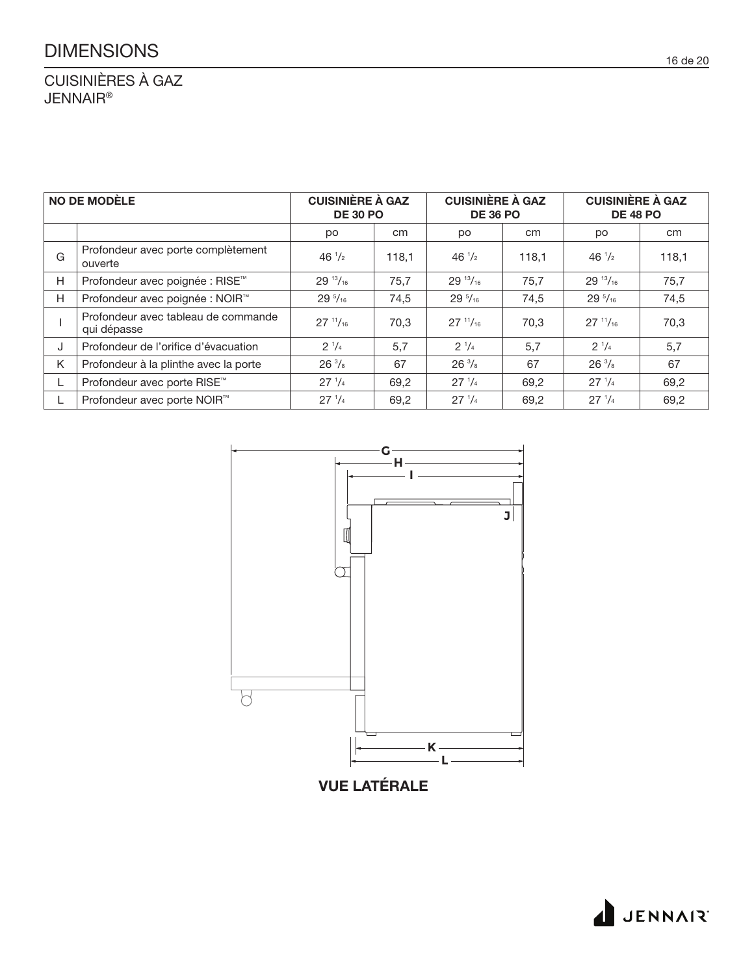# DIMENSIONS 16 de 20

CUISINIÈRES À GAZ JENNAIR®

| <b>NO DE MODÈLE</b> |                                                    | <b>CUISINIÈRE À GAZ</b><br><b>DE 30 PO</b> |       | <b>CUISINIÈRE À GAZ</b><br><b>DE 36 PO</b> |       | <b>CUISINIÈRE À GAZ</b><br><b>DE 48 PO</b> |       |
|---------------------|----------------------------------------------------|--------------------------------------------|-------|--------------------------------------------|-------|--------------------------------------------|-------|
|                     |                                                    | po                                         | cm    | po                                         | cm    | po                                         | cm    |
| G                   | Profondeur avec porte complètement<br>ouverte      | $46 \frac{1}{2}$                           | 118.1 | $46^{1/2}$                                 | 118,1 | $46^{1/2}$                                 | 118.1 |
| H                   | Profondeur avec poignée : RISE™                    | $29^{13}/_{16}$                            | 75,7  | $29^{13}/_{16}$                            | 75,7  | $29^{13}/_{16}$                            | 75,7  |
| H                   | Profondeur avec poignée : NOIR <sup>™</sup>        | $29^{5}/_{16}$                             | 74,5  | $29^{5}/_{16}$                             | 74,5  | $29^{5}/_{16}$                             | 74,5  |
|                     | Profondeur avec tableau de commande<br>qui dépasse | $27^{11}/_{16}$                            | 70,3  | $27^{11}/_{16}$                            | 70.3  | $27^{11}/_{16}$                            | 70,3  |
| J                   | Profondeur de l'orifice d'évacuation               | $2^{1/4}$                                  | 5,7   | $2^{1/4}$                                  | 5,7   | $2^{1/4}$                                  | 5,7   |
| K                   | Profondeur à la plinthe avec la porte              | $26\frac{3}{8}$                            | 67    | $26\frac{3}{8}$                            | 67    | $26\frac{3}{8}$                            | 67    |
| L                   | Profondeur avec porte RISE™                        | $27^{1/4}$                                 | 69,2  | $27^{1/4}$                                 | 69,2  | $27 \frac{1}{4}$                           | 69,2  |
|                     | Profondeur avec porte NOIR <sup>™</sup>            | $27^{1/4}$                                 | 69,2  | $27^{1/4}$                                 | 69,2  | $27^{1/4}$                                 | 69,2  |

![](_page_15_Figure_3.jpeg)

VUE LATÉRALE

![](_page_15_Picture_5.jpeg)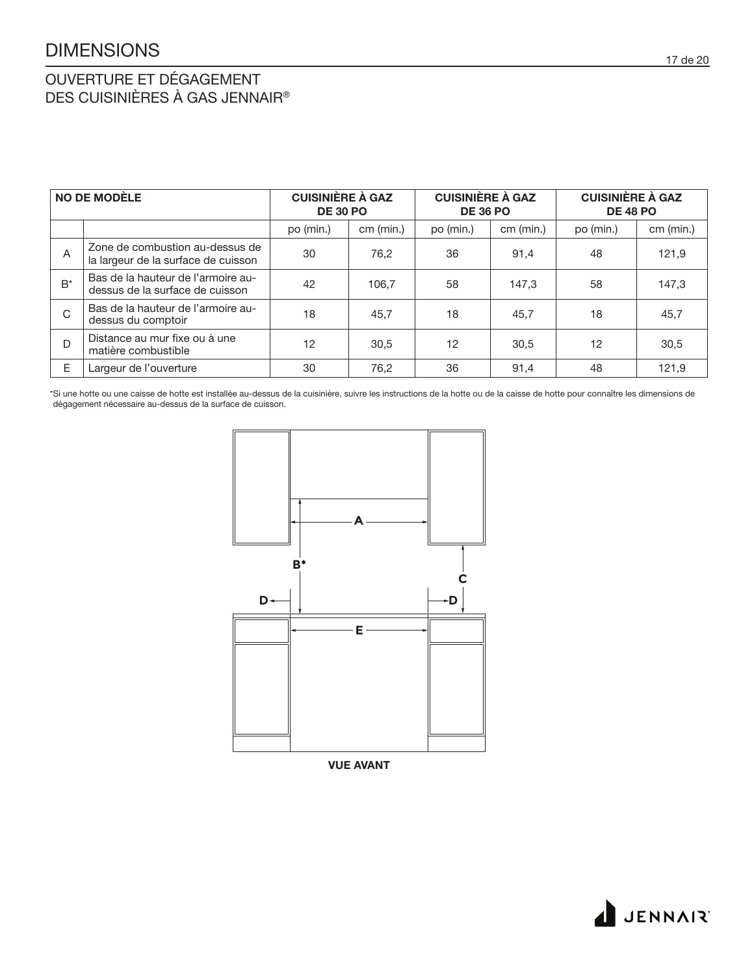### DIMENSIONS 17 de 20

### OUVERTURE ET DÉGAGEMENT DES CUISINIÈRES À GAS JENNAIR®

| NO DE MODÈLE |                                                                        | <b>CUISINIÈRE À GAZ</b><br><b>DE 30 PO</b> |           | <b>CUISINIÈRE À GAZ</b><br><b>DE 36 PO</b> |           | <b>CUISINIÈRE À GAZ</b><br><b>DE 48 PO</b> |           |  |
|--------------|------------------------------------------------------------------------|--------------------------------------------|-----------|--------------------------------------------|-----------|--------------------------------------------|-----------|--|
|              |                                                                        | po (min.)                                  | cm (min.) | po (min.)                                  | cm (min.) | po (min.)                                  | cm (min.) |  |
| A            | Zone de combustion au-dessus de<br>la largeur de la surface de cuisson | 30                                         | 76.2      | 36                                         | 91,4      | 48                                         | 121,9     |  |
| $B^*$        | Bas de la hauteur de l'armoire au-<br>dessus de la surface de cuisson  | 42                                         | 106.7     | 58                                         | 147.3     | 58                                         | 147,3     |  |
| C            | Bas de la hauteur de l'armoire au-<br>dessus du comptoir               | 18                                         | 45,7      | 18                                         | 45,7      | 18                                         | 45,7      |  |
| D            | Distance au mur fixe ou à une<br>matière combustible                   | 12                                         | 30.5      | 12                                         | 30,5      | 12                                         | 30,5      |  |
| E            | Largeur de l'ouverture                                                 | 30                                         | 76,2      | 36                                         | 91,4      | 48                                         | 121,9     |  |
|              |                                                                        |                                            |           |                                            |           |                                            |           |  |

\* Si une hotte ou une caisse de hotte est installée au-dessus de la cuisinière, suivre les instructions de la hotte ou de la caisse de hotte pour connaître les dimensions de dégagement nécessaire au-dessus de la surface de cuisson.

![](_page_16_Figure_4.jpeg)

VUE AVANT

![](_page_16_Picture_6.jpeg)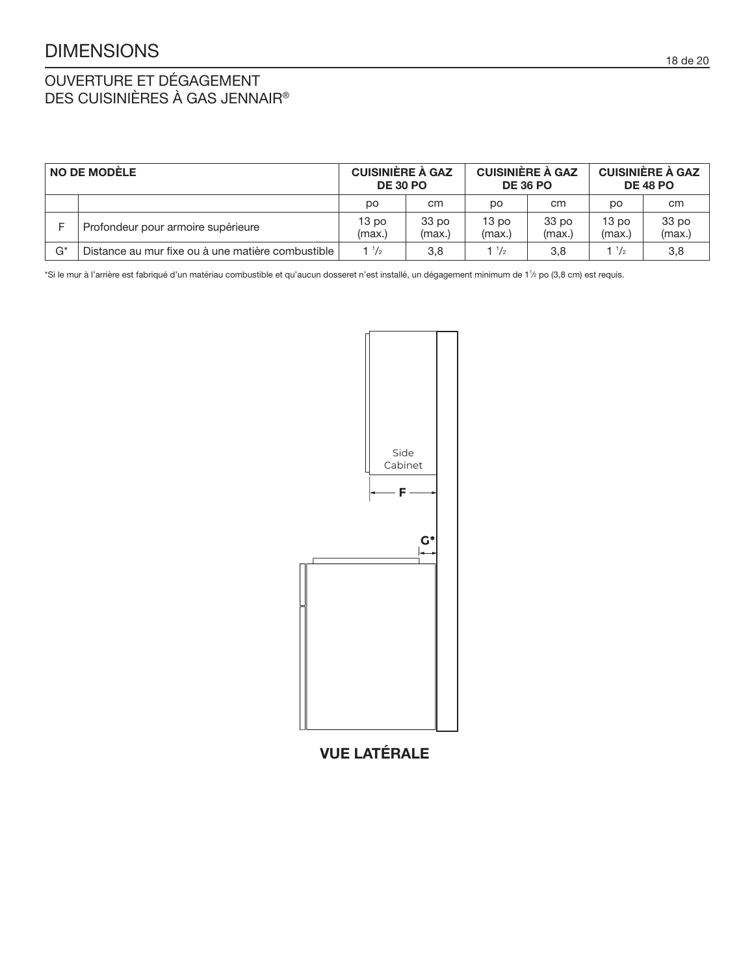# DIMENSIONS 18 de 20

### OUVERTURE ET DÉGAGEMENT DES CUISINIÈRES À GAS JENNAIR®

| NO DE MODÈLE |                                                   | <b>CUISINIÈRE À GAZ</b><br><b>DE 30 PO</b> |                            | <b>CUISINIÈRE À GAZ</b><br><b>DE 36 PO</b> |                            | <b>CUISINIÈRE À GAZ</b><br><b>DE 48 PO</b> |                            |
|--------------|---------------------------------------------------|--------------------------------------------|----------------------------|--------------------------------------------|----------------------------|--------------------------------------------|----------------------------|
|              |                                                   | DO                                         | cm                         | DO                                         | cm                         | DO                                         | cm                         |
|              | Profondeur pour armoire supérieure                | 13 <sub>po</sub><br>(max.)                 | 33 <sub>po</sub><br>(max.) | 13 <sub>po</sub><br>(max.)                 | 33 <sub>po</sub><br>(max.) | 13 <sub>po</sub><br>(max.)                 | 33 <sub>po</sub><br>(max.) |
| $G^*$        | Distance au mur fixe ou à une matière combustible | 1 $\frac{1}{2}$                            | 3,8                        | $1 \frac{1}{2}$                            | 3,8                        | $1 \frac{1}{2}$                            | 3,8                        |

\*Si le mur à l'arrière est fabriqué d'un matériau combustible et qu'aucun dosseret n'est installé, un dégagement minimum de 1<sup>1</sup> ⁄2 po (3,8 cm) est requis.

![](_page_17_Figure_4.jpeg)

VUE LATÉRALE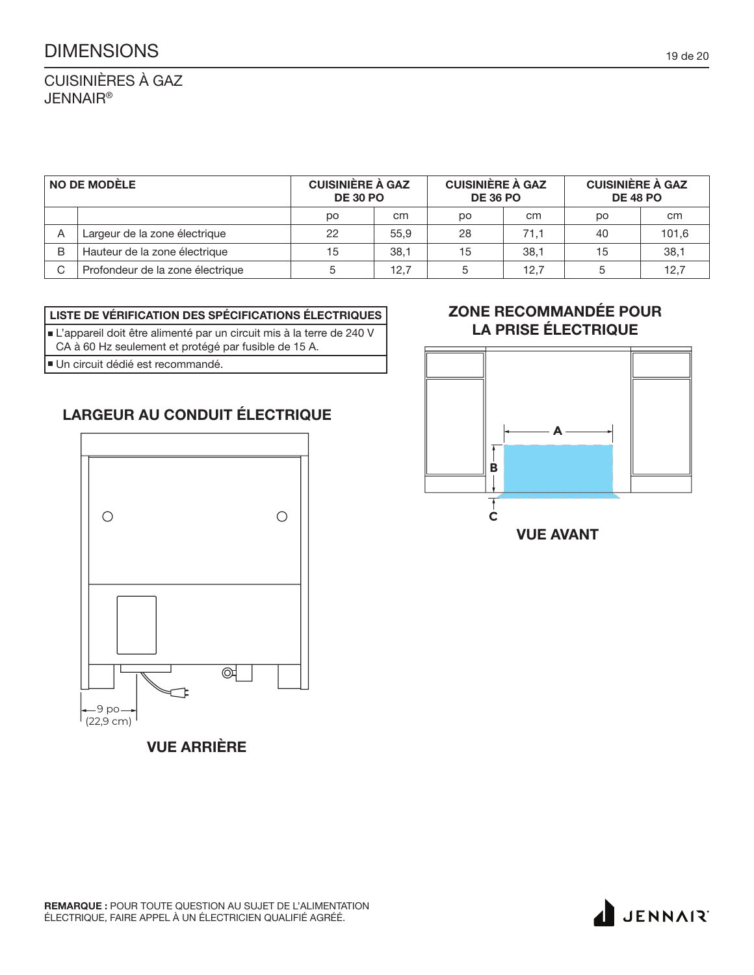CUISINIÈRES À GAZ JENNAIR®

| <b>NO DE MODÈLE</b> |                                  | <b>CUISINIÈRE À GAZ</b><br><b>DE 30 PO</b> |               | <b>CUISINIÈRE À GAZ</b><br><b>DE 36 PO</b> |      | <b>CUISINIÈRE À GAZ</b><br><b>DE 48 PO</b> |       |
|---------------------|----------------------------------|--------------------------------------------|---------------|--------------------------------------------|------|--------------------------------------------|-------|
|                     |                                  | DO                                         | <sub>cm</sub> | DO                                         | cm   | <b>DO</b>                                  | cm    |
|                     | Largeur de la zone électrique    | 22                                         | 55.9          | 28                                         | 71.1 | 40                                         | 101,6 |
| B                   | Hauteur de la zone électrique    | 15                                         | 38,1          | 15                                         | 38.1 | 15                                         | 38,1  |
| С                   | Profondeur de la zone électrique | 5                                          | 12,7          |                                            | 12.7 |                                            | 12.7  |

#### LISTE DE VÉRIFICATION DES SPÉCIFICATIONS ÉLECTRIQUES

- L'appareil doit être alimenté par un circuit mis à la terre de 240 V
- CA à 60 Hz seulement et protégé par fusible de 15 A.
- Un circuit dédié est recommandé.

### LARGEUR AU CONDUIT ÉLECTRIQUE

![](_page_18_Figure_8.jpeg)

VUE ARRIÈRE

### ZONE RECOMMANDÉE POUR LA PRISE ÉLECTRIQUE

![](_page_18_Figure_11.jpeg)

![](_page_18_Picture_14.jpeg)